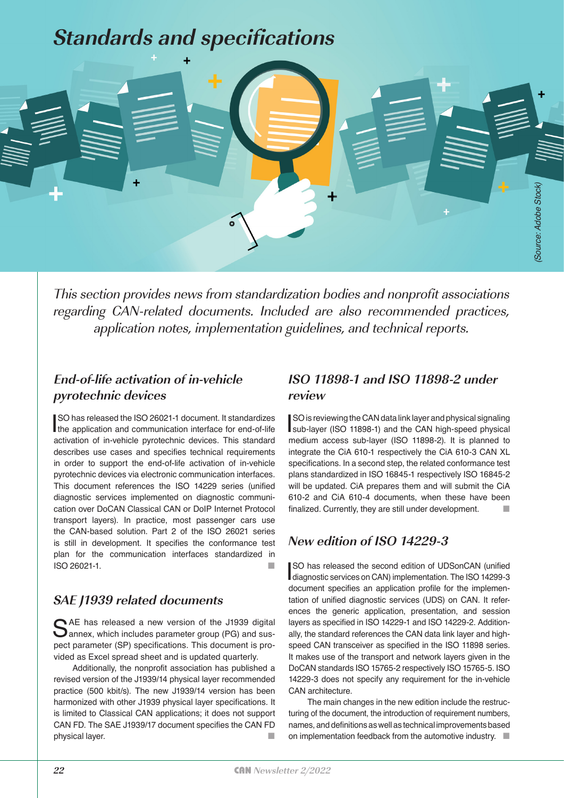# **Standards and specifications**



This section provides news from standardization bodies and nonprofit associations regarding CAN-related documents. Included are also recommended practices, application notes, implementation guidelines, and technical reports.

#### **End-of-life activation of in-vehicle pyrotechnic devices**

SO has released the ISO 26021-1 document. It standardizes<br>the application and communication interface for end-of-life SO has released the ISO 26021-1 document. It standardizes activation of in-vehicle pyrotechnic devices. This standard describes use cases and specifies technical requirements in order to support the end-of-life activation of in-vehicle pyrotechnic devices via electronic communication interfaces. This document references the ISO 14229 series (unified diagnostic services implemented on diagnostic communication over DoCAN Classical CAN or DoIP Internet Protocol transport layers). In practice, most passenger cars use the CAN-based solution. Part 2 of the ISO 26021 series is still in development. It specifies the conformance test plan for the communication interfaces standardized in ISO 26021-1.

#### **SAE J1939 related documents**

SAE has released a new version of the J1939 digital<br>
Sannex, which includes parameter group (PG) and suspect parameter (SP) specifications. This document is provided as Excel spread sheet and is updated quarterly.

Additionally, the nonprofit association has published a revised version of the J1939/14 physical layer recommended practice (500 kbit/s). The new J1939/14 version has been harmonized with other J1939 physical layer specifications. It is limited to Classical CAN applications; it does not support CAN FD. The SAE J1939/17 document specifies the CAN FD physical layer.

#### **ISO 11898-1 and ISO 11898-2 under review**

SO is reviewing the CAN data link layer and physical signaling<br>sub-layer (ISO 11898-1) and the CAN high-speed physical SO is reviewing the CAN data link layer and physical signaling medium access sub-layer (ISO 11898-2). It is planned to integrate the CiA 610-1 respectively the CiA 610-3 CAN XL specifications. In a second step, the related conformance test plans standardized in ISO 16845-1 respectively ISO 16845-2 will be updated. CiA prepares them and will submit the CiA 610-2 and CiA 610-4 documents, when these have been finalized. Currently, they are still under development.

## **New edition of ISO 14229-3**

SO has released the second edition of UDSonCAN (unitied<br>diagnostic services on CAN) implementation. The ISO 14299-3 SO has released the second edition of UDSonCAN (unified document specifies an application profile for the implementation of unified diagnostic services (UDS) on CAN. It references the generic application, presentation, and session layers as specified in ISO 14229-1 and ISO 14229-2. Additionally, the standard references the CAN data link layer and highspeed CAN transceiver as specified in the ISO 11898 series. It makes use of the transport and network layers given in the DoCAN standards ISO 15765-2 respectively ISO 15765-5. ISO 14229-3 does not specify any requirement for the in-vehicle CAN architecture.

The main changes in the new edition include the restructuring of the document, the introduction of requirement numbers, names, and definitions as well as technical improvements based on implementation feedback from the automotive industry.